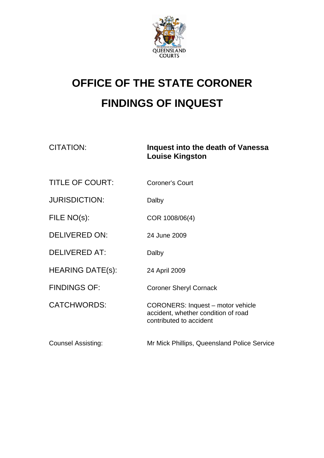

## **OFFICE OF THE STATE CORONER FINDINGS OF INQUEST**

CITATION: **Inquest into the death of Vanessa Louise Kingston** 

| <b>TITLE OF COURT:</b>    | <b>Coroner's Court</b>                                                                                     |
|---------------------------|------------------------------------------------------------------------------------------------------------|
| <b>JURISDICTION:</b>      | Dalby                                                                                                      |
| FILE NO(s):               | COR 1008/06(4)                                                                                             |
| <b>DELIVERED ON:</b>      | 24 June 2009                                                                                               |
| DELIVERED AT:             | Dalby                                                                                                      |
| <b>HEARING DATE(s):</b>   | 24 April 2009                                                                                              |
| <b>FINDINGS OF:</b>       | <b>Coroner Sheryl Cornack</b>                                                                              |
| <b>CATCHWORDS:</b>        | <b>CORONERS: Inquest - motor vehicle</b><br>accident, whether condition of road<br>contributed to accident |
| <b>Counsel Assisting:</b> | Mr Mick Phillips, Queensland Police Service                                                                |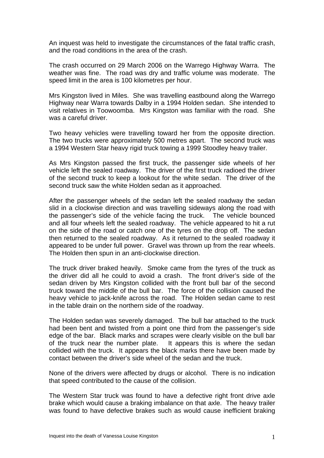An inquest was held to investigate the circumstances of the fatal traffic crash, and the road conditions in the area of the crash.

The crash occurred on 29 March 2006 on the Warrego Highway Warra. The weather was fine. The road was dry and traffic volume was moderate. The speed limit in the area is 100 kilometres per hour.

Mrs Kingston lived in Miles. She was travelling eastbound along the Warrego Highway near Warra towards Dalby in a 1994 Holden sedan. She intended to visit relatives in Toowoomba. Mrs Kingston was familiar with the road. She was a careful driver.

Two heavy vehicles were travelling toward her from the opposite direction. The two trucks were approximately 500 metres apart. The second truck was a 1994 Western Star heavy rigid truck towing a 1999 Stoodley heavy trailer.

As Mrs Kingston passed the first truck, the passenger side wheels of her vehicle left the sealed roadway. The driver of the first truck radioed the driver of the second truck to keep a lookout for the white sedan. The driver of the second truck saw the white Holden sedan as it approached.

After the passenger wheels of the sedan left the sealed roadway the sedan slid in a clockwise direction and was travelling sideways along the road with the passenger's side of the vehicle facing the truck. The vehicle bounced and all four wheels left the sealed roadway. The vehicle appeared to hit a rut on the side of the road or catch one of the tyres on the drop off. The sedan then returned to the sealed roadway. As it returned to the sealed roadway it appeared to be under full power. Gravel was thrown up from the rear wheels. The Holden then spun in an anti-clockwise direction.

The truck driver braked heavily. Smoke came from the tyres of the truck as the driver did all he could to avoid a crash. The front driver's side of the sedan driven by Mrs Kingston collided with the front bull bar of the second truck toward the middle of the bull bar. The force of the collision caused the heavy vehicle to jack-knife across the road. The Holden sedan came to rest in the table drain on the northern side of the roadway.

The Holden sedan was severely damaged. The bull bar attached to the truck had been bent and twisted from a point one third from the passenger's side edge of the bar. Black marks and scrapes were clearly visible on the bull bar of the truck near the number plate. It appears this is where the sedan collided with the truck. It appears the black marks there have been made by contact between the driver's side wheel of the sedan and the truck.

None of the drivers were affected by drugs or alcohol. There is no indication that speed contributed to the cause of the collision.

The Western Star truck was found to have a defective right front drive axle brake which would cause a braking imbalance on that axle. The heavy trailer was found to have defective brakes such as would cause inefficient braking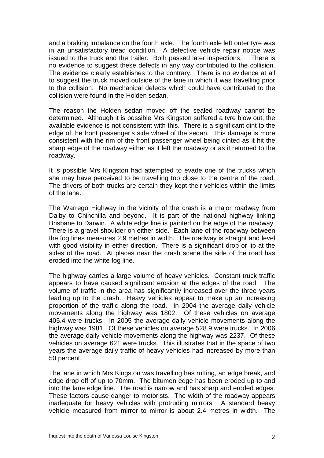and a braking imbalance on the fourth axle. The fourth axle left outer tyre was in an unsatisfactory tread condition. A defective vehicle repair notice was issued to the truck and the trailer. Both passed later inspections. There is no evidence to suggest these defects in any way contributed to the collision. The evidence clearly establishes to the contrary. There is no evidence at all to suggest the truck moved outside of the lane in which it was travelling prior to the collision. No mechanical defects which could have contributed to the collision were found in the Holden sedan.

The reason the Holden sedan moved off the sealed roadway cannot be determined. Although it is possible Mrs Kingston suffered a tyre blow out, the available evidence is not consistent with this. There is a significant dint to the edge of the front passenger's side wheel of the sedan. This damage is more consistent with the rim of the front passenger wheel being dinted as it hit the sharp edge of the roadway either as it left the roadway or as it returned to the roadway.

It is possible Mrs Kingston had attempted to evade one of the trucks which she may have perceived to be travelling too close to the centre of the road. The drivers of both trucks are certain they kept their vehicles within the limits of the lane.

The Warrego Highway in the vicinity of the crash is a major roadway from Dalby to Chinchilla and beyond. It is part of the national highway linking Brisbane to Darwin. A white edge line is painted on the edge of the roadway. There is a gravel shoulder on either side. Each lane of the roadway between the fog lines measures 2.9 metres in width. The roadway is straight and level with good visibility in either direction. There is a significant drop or lip at the sides of the road. At places near the crash scene the side of the road has eroded into the white fog line.

The highway carries a large volume of heavy vehicles. Constant truck traffic appears to have caused significant erosion at the edges of the road. The volume of traffic in the area has significantly increased over the three years leading up to the crash. Heavy vehicles appear to make up an increasing proportion of the traffic along the road. In 2004 the average daily vehicle movements along the highway was 1802. Of these vehicles on average 405.4 were trucks. In 2005 the average daily vehicle movements along the highway was 1981. Of these vehicles on average 528.9 were trucks. In 2006 the average daily vehicle movements along the highway was 2237. Of these vehicles on average 621 were trucks. This illustrates that in the space of two years the average daily traffic of heavy vehicles had increased by more than 50 percent.

The lane in which Mrs Kingston was travelling has rutting, an edge break, and edge drop off of up to 70mm. The bitumen edge has been eroded up to and into the lane edge line. The road is narrow and has sharp and eroded edges. These factors cause danger to motorists. The width of the roadway appears inadequate for heavy vehicles with protruding mirrors. A standard heavy vehicle measured from mirror to mirror is about 2.4 metres in width. The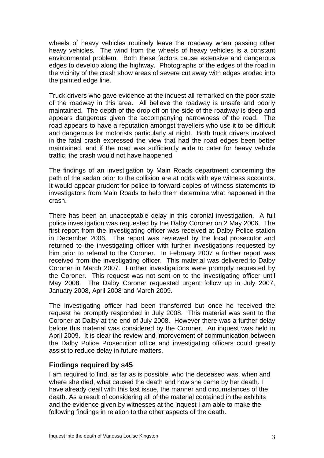wheels of heavy vehicles routinely leave the roadway when passing other heavy vehicles. The wind from the wheels of heavy vehicles is a constant environmental problem. Both these factors cause extensive and dangerous edges to develop along the highway. Photographs of the edges of the road in the vicinity of the crash show areas of severe cut away with edges eroded into the painted edge line.

Truck drivers who gave evidence at the inquest all remarked on the poor state of the roadway in this area. All believe the roadway is unsafe and poorly maintained. The depth of the drop off on the side of the roadway is deep and appears dangerous given the accompanying narrowness of the road. The road appears to have a reputation amongst travellers who use it to be difficult and dangerous for motorists particularly at night. Both truck drivers involved in the fatal crash expressed the view that had the road edges been better maintained, and if the road was sufficiently wide to cater for heavy vehicle traffic, the crash would not have happened.

The findings of an investigation by Main Roads department concerning the path of the sedan prior to the collision are at odds with eye witness accounts. It would appear prudent for police to forward copies of witness statements to investigators from Main Roads to help them determine what happened in the crash.

There has been an unacceptable delay in this coronial investigation. A full police investigation was requested by the Dalby Coroner on 2 May 2006. The first report from the investigating officer was received at Dalby Police station in December 2006. The report was reviewed by the local prosecutor and returned to the investigating officer with further investigations requested by him prior to referral to the Coroner. In February 2007 a further report was received from the investigating officer. This material was delivered to Dalby Coroner in March 2007. Further investigations were promptly requested by the Coroner. This request was not sent on to the investigating officer until May 2008. The Dalby Coroner requested urgent follow up in July 2007, January 2008, April 2008 and March 2009.

The investigating officer had been transferred but once he received the request he promptly responded in July 2008. This material was sent to the Coroner at Dalby at the end of July 2008. However there was a further delay before this material was considered by the Coroner. An inquest was held in April 2009. It is clear the review and improvement of communication between the Dalby Police Prosecution office and investigating officers could greatly assist to reduce delay in future matters.

## **Findings required by s45**

I am required to find, as far as is possible, who the deceased was, when and where she died, what caused the death and how she came by her death. I have already dealt with this last issue, the manner and circumstances of the death. As a result of considering all of the material contained in the exhibits and the evidence given by witnesses at the inquest I am able to make the following findings in relation to the other aspects of the death.